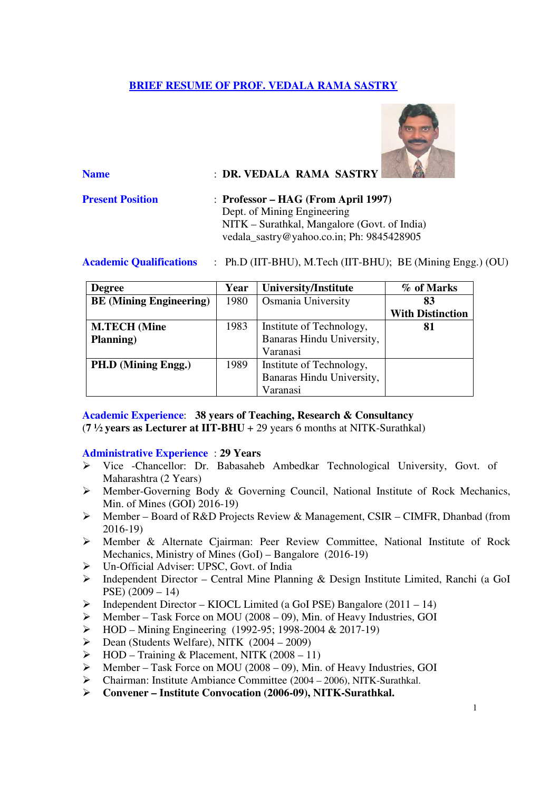# **BRIEF RESUME OF PROF. VEDALA RAMA SASTRY**



| <b>Name</b>             | : DR. VEDALA RAMA SASTRY                                                                                                                                          |
|-------------------------|-------------------------------------------------------------------------------------------------------------------------------------------------------------------|
| <b>Present Position</b> | $:$ Professor – HAG (From April 1997)<br>Dept. of Mining Engineering<br>NITK – Surathkal, Mangalore (Govt. of India)<br>vedala_sastry@yahoo.co.in; Ph: 9845428905 |

**Academic Qualifications** : Ph.D (IIT-BHU), M.Tech (IIT-BHU); BE (Mining Engg.) (OU)

| <b>Degree</b>                  | Year | <b>University/Institute</b> | % of Marks              |
|--------------------------------|------|-----------------------------|-------------------------|
| <b>BE</b> (Mining Engineering) | 1980 | Osmania University          | 83                      |
|                                |      |                             | <b>With Distinction</b> |
| <b>M.TECH</b> (Mine            | 1983 | Institute of Technology,    | 81                      |
| Planning)                      |      | Banaras Hindu University,   |                         |
|                                |      | Varanasi                    |                         |
| PH.D (Mining Engg.)            | 1989 | Institute of Technology,    |                         |
|                                |      | Banaras Hindu University,   |                         |
|                                |      | Varanasi                    |                         |

**Academic Experience**: **38 years of Teaching, Research & Consultancy** (**7 ½ years as Lecturer at IIT-BHU** + 29 years 6 months at NITK-Surathkal)

### **Administrative Experience** : **29 Years**

- Vice -Chancellor: Dr. Babasaheb Ambedkar Technological University, Govt. of Maharashtra (2 Years)
- Member-Governing Body & Governing Council, National Institute of Rock Mechanics, Min. of Mines (GOI) 2016-19)
- Member Board of R&D Projects Review & Management, CSIR CIMFR, Dhanbad (from 2016-19)
- Member & Alternate Cjairman: Peer Review Committee, National Institute of Rock Mechanics, Ministry of Mines (GoI) – Bangalore (2016-19)
- Un-Official Adviser: UPSC, Govt. of India
- Independent Director Central Mine Planning & Design Institute Limited, Ranchi (a GoI PSE) (2009 – 14)
- $\triangleright$  Independent Director KIOCL Limited (a GoI PSE) Bangalore (2011 14)
- $\triangleright$  Member Task Force on MOU (2008 09), Min. of Heavy Industries, GOI
- $\triangleright$  HOD Mining Engineering (1992-95; 1998-2004 & 2017-19)
- $\triangleright$  Dean (Students Welfare), NITK (2004 2009)
- $\triangleright$  HOD Training & Placement, NITK (2008 11)
- $\triangleright$  Member Task Force on MOU (2008 09), Min. of Heavy Industries, GOI
- Chairman: Institute Ambiance Committee (2004 2006), NITK-Surathkal.
- **Convener Institute Convocation (2006-09), NITK-Surathkal.**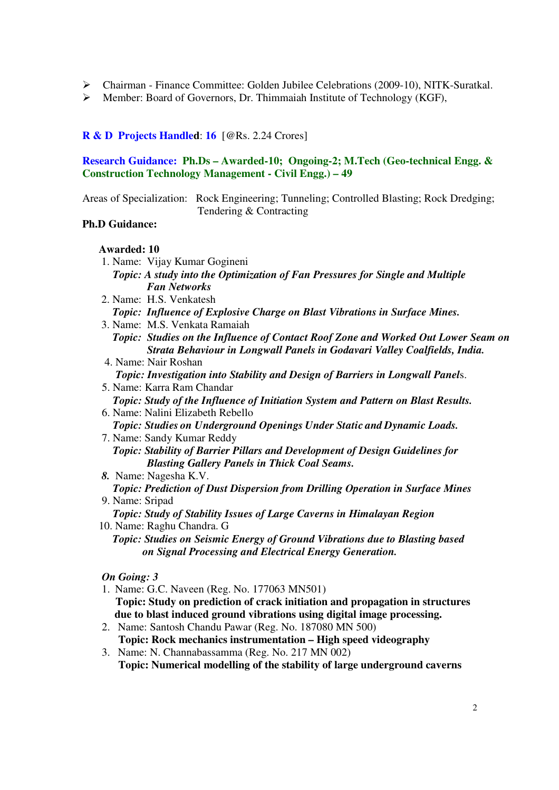- Chairman Finance Committee: Golden Jubilee Celebrations (2009-10), NITK-Suratkal.
- $\triangleright$  Member: Board of Governors, Dr. Thimmaiah Institute of Technology (KGF),

## **R & D Projects Handled**: **16** [@Rs. 2.24 Crores]

### **Research Guidance: Ph.Ds – Awarded-10; Ongoing-2; M.Tech (Geo-technical Engg. & Construction Technology Management - Civil Engg.) – 49**

Areas of Specialization: Rock Engineering; Tunneling; Controlled Blasting; Rock Dredging; Tendering & Contracting

### **Ph.D Guidance:**

### **Awarded: 10**

 1. Name: Vijay Kumar Gogineni *Topic: A study into the Optimization of Fan Pressures for Single and Multiple Fan Networks*  2. Name: H.S. Venkatesh *Topic: Influence of Explosive Charge on Blast Vibrations in Surface Mines.* 

- 3. Name: M.S. Venkata Ramaiah *Topic: Studies on the Influence of Contact Roof Zone and Worked Out Lower Seam on Strata Behaviour in Longwall Panels in Godavari Valley Coalfields, India.*
- 4. Name: Nair Roshan *Topic: Investigation into Stability and Design of Barriers in Longwall Panel*s.
- 5. Name: Karra Ram Chandar *Topic: Study of the Influence of Initiation System and Pattern on Blast Results.*  6. Name: Nalini Elizabeth Rebello
- *Topic: Studies on Underground Openings Under Static and Dynamic Loads.*  7. Name: Sandy Kumar Reddy

*Topic: Stability of Barrier Pillars and Development of Design Guidelines for Blasting Gallery Panels in Thick Coal Seams.* 

- *8.* Name: Nagesha K.V. *Topic: Prediction of Dust Dispersion from Drilling Operation in Surface Mines*  9. Name: Sripad
- *Topic: Study of Stability Issues of Large Caverns in Himalayan Region*  10. Name: Raghu Chandra. G
- *Topic: Studies on Seismic Energy of Ground Vibrations due to Blasting based on Signal Processing and Electrical Energy Generation.*

### *On Going: 3*

- 1. Name: G.C. Naveen (Reg. No. 177063 MN501)  **Topic: Study on prediction of crack initiation and propagation in structures due to blast induced ground vibrations using digital image processing.**
- 2. Name: Santosh Chandu Pawar (Reg. No. 187080 MN 500) **Topic: Rock mechanics instrumentation – High speed videography**
- 3. Name: N. Channabassamma (Reg. No. 217 MN 002) **Topic: Numerical modelling of the stability of large underground caverns**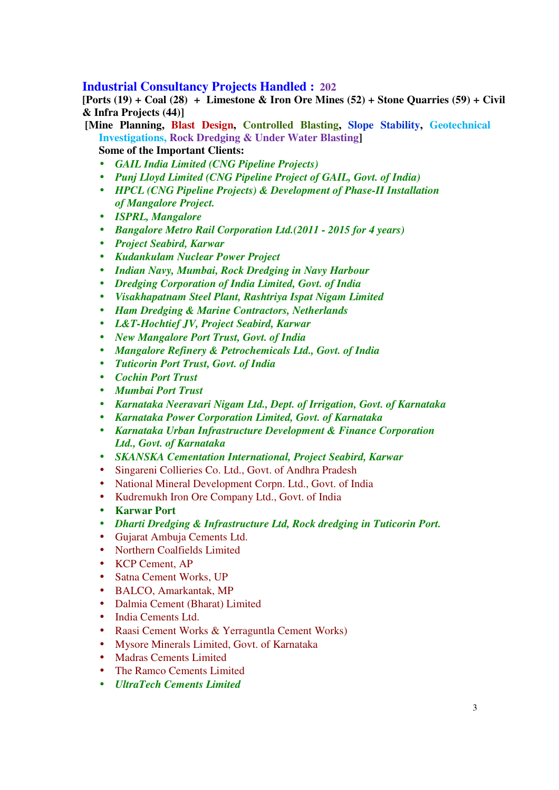## **Industrial Consultancy Projects Handled : 202**

**[Ports (19) + Coal (28) + Limestone & Iron Ore Mines (52) + Stone Quarries (59) + Civil & Infra Projects (44)]** 

 **[Mine Planning, Blast Design, Controlled Blasting, Slope Stability, Geotechnical Investigations, Rock Dredging & Under Water Blasting] Some of the Important Clients:** 

- *GAIL India Limited (CNG Pipeline Projects)*
- *Punj Lloyd Limited (CNG Pipeline Project of GAIL, Govt. of India)*
- *HPCL (CNG Pipeline Projects) & Development of Phase-II Installation of Mangalore Project.*
- *ISPRL, Mangalore*
- *Bangalore Metro Rail Corporation Ltd.(2011 2015 for 4 years)*
- *Project Seabird, Karwar*
- *Kudankulam Nuclear Power Project*
- *Indian Navy, Mumbai, Rock Dredging in Navy Harbour*
- *Dredging Corporation of India Limited, Govt. of India*
- *Visakhapatnam Steel Plant, Rashtriya Ispat Nigam Limited*
- *Ham Dredging & Marine Contractors, Netherlands*
- *L&T-Hochtief JV, Project Seabird, Karwar*
- *New Mangalore Port Trust, Govt. of India*
- *Mangalore Refinery & Petrochemicals Ltd., Govt. of India*
- *Tuticorin Port Trust, Govt. of India*
- *Cochin Port Trust*
- *Mumbai Port Trust*
- *Karnataka Neeravari Nigam Ltd., Dept. of Irrigation, Govt. of Karnataka*
- *Karnataka Power Corporation Limited, Govt. of Karnataka*
- *Karnataka Urban Infrastructure Development & Finance Corporation Ltd., Govt. of Karnataka*
- *SKANSKA Cementation International, Project Seabird, Karwar*
- Singareni Collieries Co. Ltd., Govt. of Andhra Pradesh
- National Mineral Development Corpn. Ltd., Govt. of India
- Kudremukh Iron Ore Company Ltd., Govt. of India
- **Karwar Port**
- *Dharti Dredging & Infrastructure Ltd, Rock dredging in Tuticorin Port.*
- Gujarat Ambuja Cements Ltd.
- Northern Coalfields Limited
- KCP Cement, AP
- Satna Cement Works, UP
- BALCO, Amarkantak, MP
- Dalmia Cement (Bharat) Limited
- India Cements Ltd.
- Raasi Cement Works & Yerraguntla Cement Works)
- Mysore Minerals Limited, Govt. of Karnataka
- Madras Cements Limited
- The Ramco Cements Limited
- *UltraTech Cements Limited*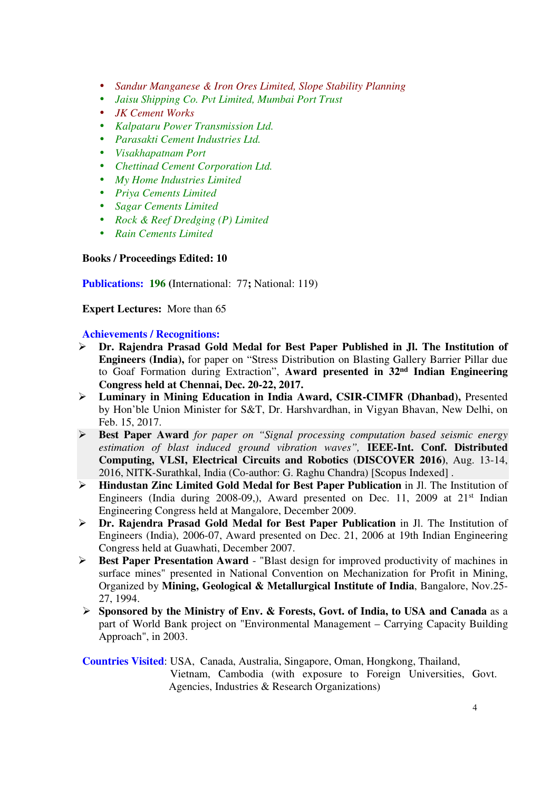- *Sandur Manganese & Iron Ores Limited, Slope Stability Planning*
- *Jaisu Shipping Co. Pvt Limited, Mumbai Port Trust*
- *JK Cement Works*
- *Kalpataru Power Transmission Ltd.*
- *Parasakti Cement Industries Ltd.*
- *Visakhapatnam Port*
- *Chettinad Cement Corporation Ltd.*
- *My Home Industries Limited*
- *Priya Cements Limited*
- *Sagar Cements Limited*
- *Rock & Reef Dredging (P) Limited*
- *Rain Cements Limited*

**Books / Proceedings Edited: 10** 

**Publications: 196 (**International: 77**;** National: 119)

**Expert Lectures:** More than 65

### **Achievements / Recognitions:**

- **Dr. Rajendra Prasad Gold Medal for Best Paper Published in Jl. The Institution of Engineers (India),** for paper on "Stress Distribution on Blasting Gallery Barrier Pillar due to Goaf Formation during Extraction", **Award presented in 32nd Indian Engineering Congress held at Chennai, Dec. 20-22, 2017.**
- **Luminary in Mining Education in India Award, CSIR-CIMFR (Dhanbad),** Presented by Hon'ble Union Minister for S&T, Dr. Harshvardhan, in Vigyan Bhavan, New Delhi, on Feb. 15, 2017.
- **Best Paper Award** *for paper on "Signal processing computation based seismic energy estimation of blast induced ground vibration waves",* **IEEE-Int. Conf. Distributed Computing, VLSI, Electrical Circuits and Robotics (DISCOVER 2016)**, Aug. 13-14, 2016, NITK-Surathkal, India (Co-author: G. Raghu Chandra) [Scopus Indexed] .
- **Hindustan Zinc Limited Gold Medal for Best Paper Publication** in Jl. The Institution of Engineers (India during 2008-09.), Award presented on Dec. 11, 2009 at  $21<sup>st</sup>$  Indian Engineering Congress held at Mangalore, December 2009.
- **Dr. Rajendra Prasad Gold Medal for Best Paper Publication** in Jl. The Institution of Engineers (India), 2006-07, Award presented on Dec. 21, 2006 at 19th Indian Engineering Congress held at Guawhati, December 2007.
- **Best Paper Presentation Award**  "Blast design for improved productivity of machines in surface mines" presented in National Convention on Mechanization for Profit in Mining, Organized by **Mining, Geological & Metallurgical Institute of India**, Bangalore, Nov.25- 27, 1994.
- **Sponsored by the Ministry of Env. & Forests, Govt. of India, to USA and Canada** as a part of World Bank project on "Environmental Management – Carrying Capacity Building Approach", in 2003.

### **Countries Visited**: USA, Canada, Australia, Singapore, Oman, Hongkong, Thailand, Vietnam, Cambodia (with exposure to Foreign Universities, Govt. Agencies, Industries & Research Organizations)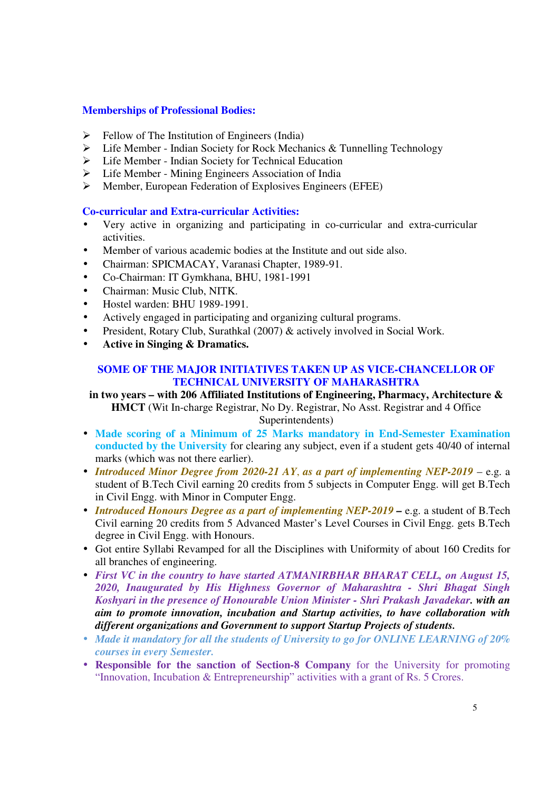### **Memberships of Professional Bodies:**

- $\triangleright$  Fellow of The Institution of Engineers (India)
- Life Member Indian Society for Rock Mechanics & Tunnelling Technology
- Life Member Indian Society for Technical Education
- Life Member Mining Engineers Association of India
- Member, European Federation of Explosives Engineers (EFEE)

### **Co-curricular and Extra-curricular Activities:**

- Very active in organizing and participating in co-curricular and extra-curricular activities.
- Member of various academic bodies at the Institute and out side also.
- Chairman: SPICMACAY, Varanasi Chapter, 1989-91.
- Co-Chairman: IT Gymkhana, BHU, 1981-1991
- Chairman: Music Club, NITK.
- Hostel warden: BHU 1989-1991.
- Actively engaged in participating and organizing cultural programs.
- President, Rotary Club, Surathkal (2007) & actively involved in Social Work.
- **Active in Singing & Dramatics.**

#### **SOME OF THE MAJOR INITIATIVES TAKEN UP AS VICE-CHANCELLOR OF TECHNICAL UNIVERSITY OF MAHARASHTRA**

**in two years – with 206 Affiliated Institutions of Engineering, Pharmacy, Architecture & HMCT** (Wit In-charge Registrar, No Dy. Registrar, No Asst. Registrar and 4 Office Superintendents)

- **Made scoring of a Minimum of 25 Marks mandatory in End-Semester Examination conducted by the University** for clearing any subject, even if a student gets 40/40 of internal marks (which was not there earlier).
- *Introduced Minor Degree from 2020-21 AY*, *as a part of implementing NEP-2019* e.g. a student of B.Tech Civil earning 20 credits from 5 subjects in Computer Engg. will get B.Tech in Civil Engg. with Minor in Computer Engg.
- *Introduced Honours Degree as a part of implementing NEP-2019* e.g. a student of B.Tech Civil earning 20 credits from 5 Advanced Master's Level Courses in Civil Engg. gets B.Tech degree in Civil Engg. with Honours.
- Got entire Syllabi Revamped for all the Disciplines with Uniformity of about 160 Credits for all branches of engineering.
- *First VC in the country to have started ATMANIRBHAR BHARAT CELL, on August 15, 2020, Inaugurated by His Highness Governor of Maharashtra - Shri Bhagat Singh Koshyari in the presence of Honourable Union Minister - Shri Prakash Javadekar. with an aim to promote innovation, incubation and Startup activities, to have collaboration with different organizations and Government to support Startup Projects of students.*
- *Made it mandatory for all the students of University to go for ONLINE LEARNING of 20% courses in every Semester.*
- **Responsible for the sanction of Section-8 Company** for the University for promoting "Innovation, Incubation & Entrepreneurship" activities with a grant of Rs. 5 Crores.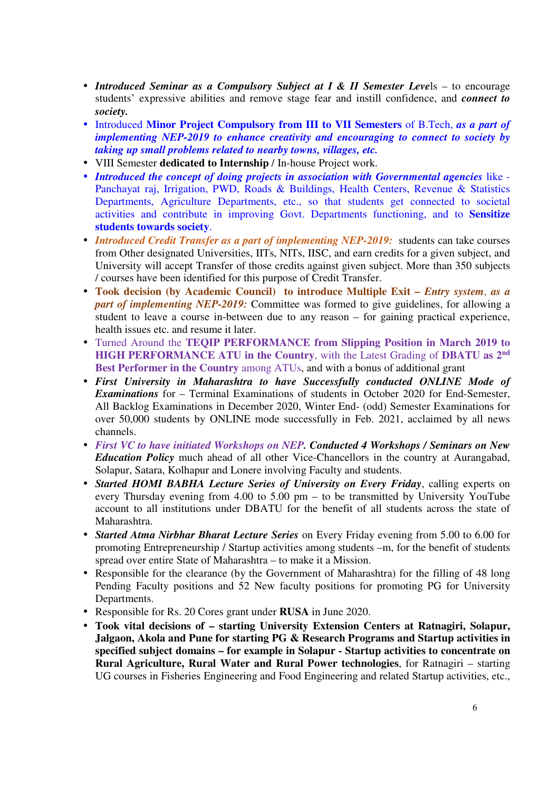- *Introduced Seminar as a Compulsory Subject at I & II Semester Leve*ls to encourage students' expressive abilities and remove stage fear and instill confidence, and *connect to society.*
- Introduced **Minor Project Compulsory from III to VII Semesters** of B.Tech, *as a part of implementing NEP-2019 to enhance creativity and encouraging to connect to society by taking up small problems related to nearby towns, villages, etc.*
- VIII Semester **dedicated to Internship** / In-house Project work.
- *Introduced the concept of doing projects in association with Governmental agencies* like Panchayat raj, Irrigation, PWD, Roads & Buildings, Health Centers, Revenue & Statistics Departments, Agriculture Departments, etc., so that students get connected to societal activities and contribute in improving Govt. Departments functioning, and to **Sensitize students towards society**.
- *Introduced Credit Transfer as a part of implementing NEP-2019:* students can take courses from Other designated Universities, IITs, NITs, IISC, and earn credits for a given subject, and University will accept Transfer of those credits against given subject. More than 350 subjects / courses have been identified for this purpose of Credit Transfer.
- **Took decision (by Academic Council) to introduce Multiple Exit –** *Entry system*, *as a part of implementing NEP-2019:* Committee was formed to give guidelines, for allowing a student to leave a course in-between due to any reason – for gaining practical experience, health issues etc. and resume it later.
- Turned Around the **TEQIP PERFORMANCE from Slipping Position in March 2019 to HIGH PERFORMANCE ATU in the Country**, with the Latest Grading of **DBATU as 2nd Best Performer in the Country** among ATUs, and with a bonus of additional grant
- *First University in Maharashtra to have Successfully conducted ONLINE Mode of Examinations* for – Terminal Examinations of students in October 2020 for End-Semester, All Backlog Examinations in December 2020, Winter End- (odd) Semester Examinations for over 50,000 students by ONLINE mode successfully in Feb. 2021, acclaimed by all news channels.
- *First VC to have initiated Workshops on NEP. Conducted 4 Workshops / Seminars on New Education Policy* much ahead of all other Vice-Chancellors in the country at Aurangabad, Solapur, Satara, Kolhapur and Lonere involving Faculty and students.
- *Started HOMI BABHA Lecture Series of University on Every Friday*, calling experts on every Thursday evening from 4.00 to 5.00 pm – to be transmitted by University YouTube account to all institutions under DBATU for the benefit of all students across the state of Maharashtra.
- *Started Atma Nirbhar Bharat Lecture Series* on Every Friday evening from 5.00 to 6.00 for promoting Entrepreneurship / Startup activities among students –m, for the benefit of students spread over entire State of Maharashtra – to make it a Mission.
- Responsible for the clearance (by the Government of Maharashtra) for the filling of 48 long Pending Faculty positions and 52 New faculty positions for promoting PG for University Departments.
- Responsible for Rs. 20 Cores grant under **RUSA** in June 2020.
- **Took vital decisions of starting University Extension Centers at Ratnagiri, Solapur, Jalgaon, Akola and Pune for starting PG & Research Programs and Startup activities in specified subject domains – for example in Solapur - Startup activities to concentrate on Rural Agriculture, Rural Water and Rural Power technologies**, for Ratnagiri – starting UG courses in Fisheries Engineering and Food Engineering and related Startup activities, etc.,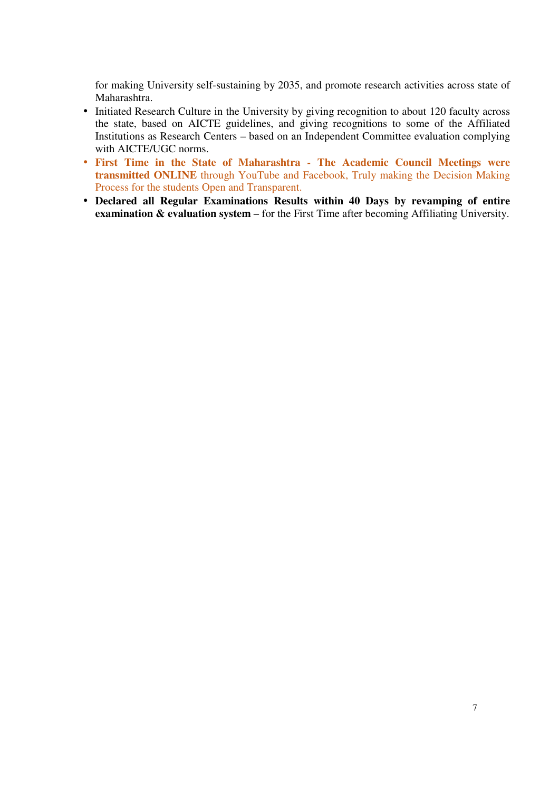for making University self-sustaining by 2035, and promote research activities across state of Maharashtra.

- Initiated Research Culture in the University by giving recognition to about 120 faculty across the state, based on AICTE guidelines, and giving recognitions to some of the Affiliated Institutions as Research Centers – based on an Independent Committee evaluation complying with AICTE/UGC norms.
- **First Time in the State of Maharashtra The Academic Council Meetings were transmitted ONLINE** through YouTube and Facebook, Truly making the Decision Making Process for the students Open and Transparent.
- **Declared all Regular Examinations Results within 40 Days by revamping of entire examination & evaluation system** – for the First Time after becoming Affiliating University.